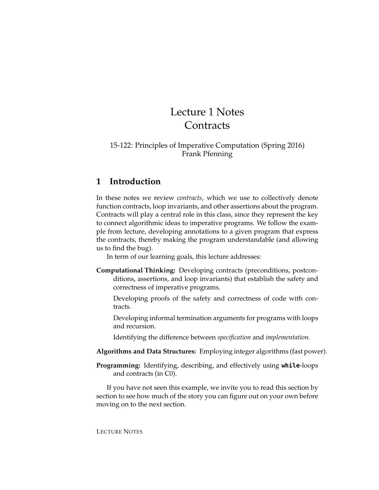# Lecture 1 Notes **Contracts**

#### 15-122: Principles of Imperative Computation (Spring 2016) Frank Pfenning

## **1 Introduction**

In these notes we review *contracts*, which we use to collectively denote function contracts, loop invariants, and other assertions about the program. Contracts will play a central role in this class, since they represent the key to connect algorithmic ideas to imperative programs. We follow the example from lecture, developing annotations to a given program that express the contracts, thereby making the program understandable (and allowing us to find the bug).

In term of our learning goals, this lecture addresses:

- **Computational Thinking:** Developing contracts (preconditions, postconditions, assertions, and loop invariants) that establish the safety and correctness of imperative programs.
	- Developing proofs of the safety and correctness of code with contracts.
	- Developing informal termination arguments for programs with loops and recursion.
	- Identifying the difference between *specification* and *implementation*.
- **Algorithms and Data Structures:** Employing integer algorithms (fast power).
- **Programming:** Identifying, describing, and effectively using **while**-loops and contracts (in C0).

If you have not seen this example, we invite you to read this section by section to see how much of the story you can figure out on your own before moving on to the next section.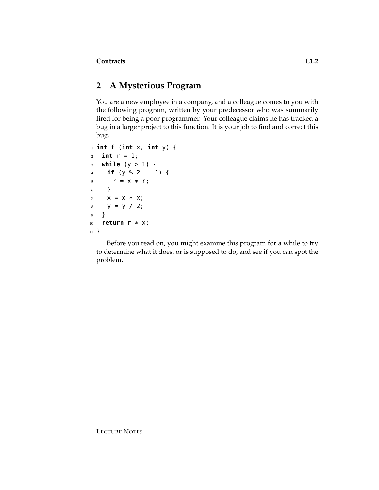## **2 A Mysterious Program**

You are a new employee in a company, and a colleague comes to you with the following program, written by your predecessor who was summarily fired for being a poor programmer. Your colleague claims he has tracked a bug in a larger project to this function. It is your job to find and correct this bug.

```
1 int f (int x, int y) {
2 \quad \text{int } r = 1;3 while (y > 1) {
4 if (y % 2 == 1) {
5 \t r = X * r;6 }
7 X = X * X;8 y = y / 2;
9 }
10 return r * x;
11 }
```
Before you read on, you might examine this program for a while to try to determine what it does, or is supposed to do, and see if you can spot the problem.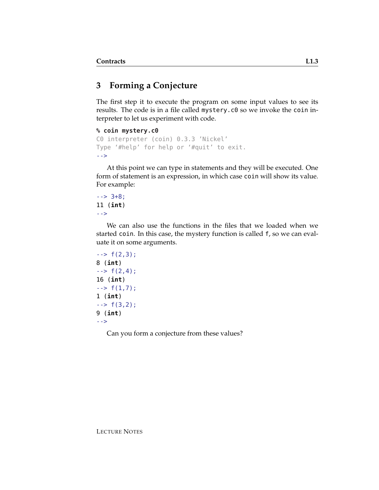# **3 Forming a Conjecture**

The first step it to execute the program on some input values to see its results. The code is in a file called mystery.c0 so we invoke the coin interpreter to let us experiment with code.

```
% coin mystery.c0
```

```
C0 interpreter (coin) 0.3.3 'Nickel'
Type '#help' for help or '#quit' to exit.
-->
```
At this point we can type in statements and they will be executed. One form of statement is an expression, in which case coin will show its value. For example:

 $--> 3+8;$ 11 (**int**) -->

We can also use the functions in the files that we loaded when we started coin. In this case, the mystery function is called f, so we can evaluate it on some arguments.

```
\leftarrow > f(2,3);
8 (int)
\rightarrow f(2,4);
16 (int)
\leftarrow > f(1,7);
1 (int)
\leftarrow > f(3,2);
9 (int)
-->
```
Can you form a conjecture from these values?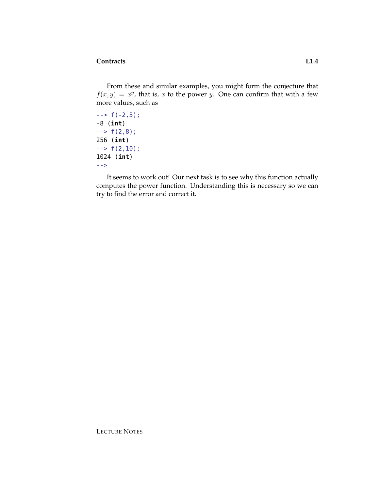From these and similar examples, you might form the conjecture that  $f(x, y) = x^y$ , that is, x to the power y. One can confirm that with a few more values, such as

 $\leftarrow$  > f( $-2,3$ ); -8 (**int**)  $\leftarrow$  > f(2,8); 256 (**int**)  $\leftarrow$  > f(2,10); 1024 (**int**) -->

It seems to work out! Our next task is to see why this function actually computes the power function. Understanding this is necessary so we can try to find the error and correct it.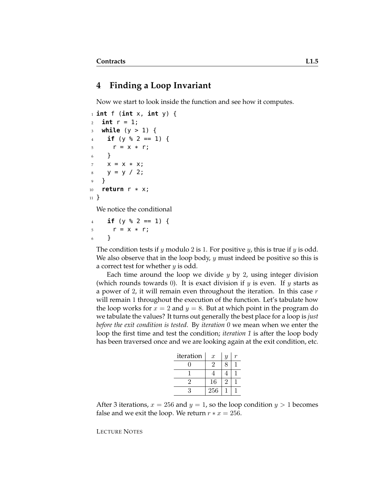### **4 Finding a Loop Invariant**

Now we start to look inside the function and see how it computes.

```
1 int f (int x, int y) {
2 int r = 1;
3 while (y > 1) {
4 if (y % 2 == 1) {
5 \t r = X * r;6 }
7 \times = X * X;8 \quad y = y / 2;9 }
10 return r * x;
11 }
```
We notice the conditional

 $4$  **if** (y % 2 == 1) {  $5 \t r = X * r;$ <sup>6</sup> }

The condition tests if y modulo 2 is 1. For positive y, this is true if y is odd. We also observe that in the loop body,  $y$  must indeed be positive so this is a correct test for whether  $y$  is odd.

Each time around the loop we divide  $y$  by 2, using integer division (which rounds towards 0). It is exact division if y is even. If y starts as a power of 2, it will remain even throughout the iteration. In this case  $r$ will remain 1 throughout the execution of the function. Let's tabulate how the loop works for  $x = 2$  and  $y = 8$ . But at which point in the program do we tabulate the values? It turns out generally the best place for a loop is *just before the exit condition is tested*. By *iteration 0* we mean when we enter the loop the first time and test the condition; *iteration 1* is after the loop body has been traversed once and we are looking again at the exit condition, etc.

| iteration | $\boldsymbol{x}$ | $\boldsymbol{y}$ |  |
|-----------|------------------|------------------|--|
|           | $\cdot$          | 8                |  |
|           |                  |                  |  |
|           | 16               | ')               |  |
|           | 256              |                  |  |

After 3 iterations,  $x = 256$  and  $y = 1$ , so the loop condition  $y > 1$  becomes false and we exit the loop. We return  $r * x = 256$ .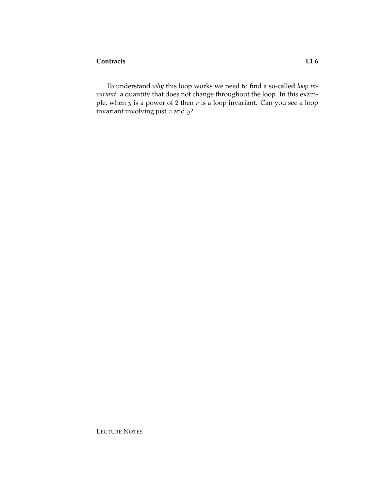To understand *why* this loop works we need to find a so-called *loop invariant*: a quantity that does not change throughout the loop. In this example, when y is a power of 2 then r is a loop invariant. Can you see a loop invariant involving just  $x$  and  $y$ ?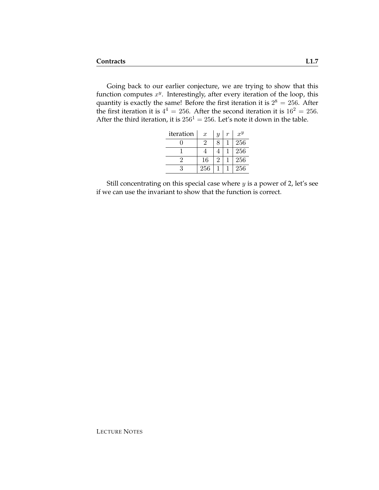Going back to our earlier conjecture, we are trying to show that this function computes  $x^y$ . Interestingly, after every iteration of the loop, this quantity is exactly the same! Before the first iteration it is  $2^8 = 256$ . After the first iteration it is  $4^4 = 256$ . After the second iteration it is  $16^2 = 256$ . After the third iteration, it is  $256^1 = 256$ . Let's note it down in the table.

| iteration | $\boldsymbol{x}$ | Y | r | $x^y$ |
|-----------|------------------|---|---|-------|
|           | '2               | 8 |   | 256   |
|           |                  |   |   | 256   |
|           | 16               | 2 |   | 256   |
|           | 256              |   |   | 256   |

Still concentrating on this special case where  $y$  is a power of 2, let's see if we can use the invariant to show that the function is correct.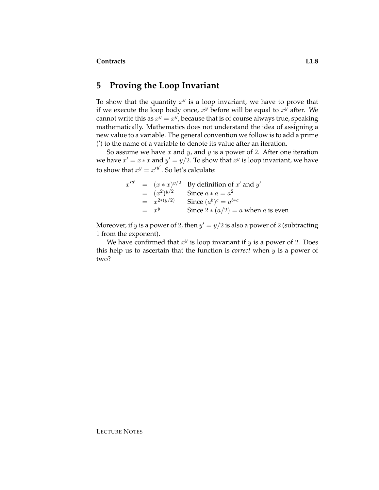#### **5 Proving the Loop Invariant**

To show that the quantity  $x^y$  is a loop invariant, we have to prove that if we execute the loop body once,  $x^y$  before will be equal to  $x^y$  after. We cannot write this as  $x^y = x^y$ , because that is of course always true, speaking mathematically. Mathematics does not understand the idea of assigning a new value to a variable. The general convention we follow is to add a prime (') to the name of a variable to denote its value after an iteration.

So assume we have  $x$  and  $y$ , and  $y$  is a power of 2. After one iteration we have  $x' = x * x$  and  $y' = y/2$ . To show that  $x^y$  is loop invariant, we have to show that  $x^y = x'^{y'}$ . So let's calculate:

|  |                   | $x'^{y'} = (x * x)^{y/2}$ By definition of x' and y' |
|--|-------------------|------------------------------------------------------|
|  | $=$ $(x^2)^{y/2}$ | Since $a * a = a^2$                                  |
|  | $= x^{2*(y/2)}$   | Since $(a^b)^c = a^{b*c}$                            |
|  | $=$ $x^y$         | Since $2 * (a/2) = a$ when a is even                 |

Moreover, if y is a power of 2, then  $y' = y/2$  is also a power of 2 (subtracting 1 from the exponent).

We have confirmed that  $x^y$  is loop invariant if  $y$  is a power of 2. Does this help us to ascertain that the function is *correct* when y is a power of two?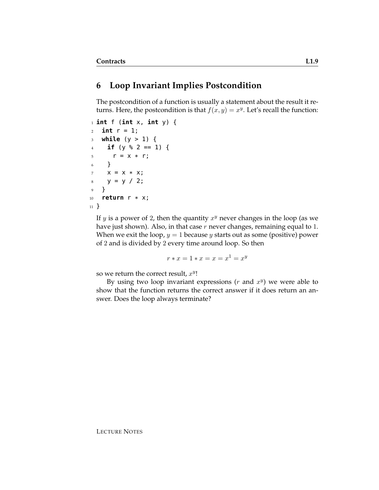### **6 Loop Invariant Implies Postcondition**

The postcondition of a function is usually a statement about the result it returns. Here, the postcondition is that  $f(x, y) = x^y$ . Let's recall the function:

```
1 int f (int x, int y) {
2 int r = 1;
3 while (y > 1) {
4 if (y % 2 == 1) {
5 \t r = x * r;6 }
7 X = X * X;8 y = y / 2;
9 }
10 return r * x;
11 }
```
If y is a power of 2, then the quantity  $x^y$  never changes in the loop (as we have just shown). Also, in that case  $r$  never changes, remaining equal to 1. When we exit the loop,  $y = 1$  because y starts out as some (positive) power of 2 and is divided by 2 every time around loop. So then

 $r * x = 1 * x = x = x^1 = x^y$ 

so we return the correct result,  $x^y$ !

By using two loop invariant expressions  $(r$  and  $x<sup>y</sup>)$  we were able to show that the function returns the correct answer if it does return an answer. Does the loop always terminate?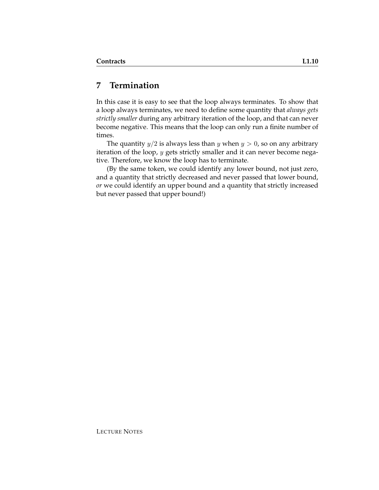# **7 Termination**

In this case it is easy to see that the loop always terminates. To show that a loop always terminates, we need to define some quantity that *always gets strictly smaller* during any arbitrary iteration of the loop, and that can never become negative. This means that the loop can only run a finite number of times.

The quantity  $y/2$  is always less than y when  $y > 0$ , so on any arbitrary iteration of the loop, y gets strictly smaller and it can never become negative. Therefore, we know the loop has to terminate.

(By the same token, we could identify any lower bound, not just zero, and a quantity that strictly decreased and never passed that lower bound, *or* we could identify an upper bound and a quantity that strictly increased but never passed that upper bound!)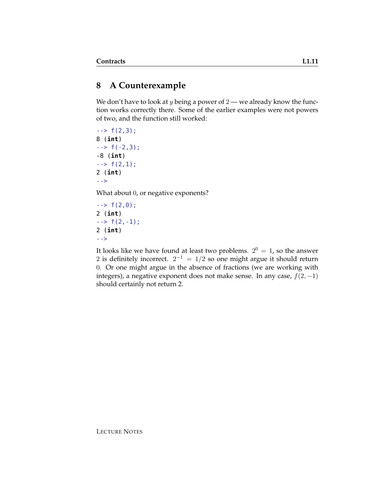# **8 A Counterexample**

We don't have to look at  $y$  being a power of  $2$  — we already know the function works correctly there. Some of the earlier examples were not powers of two, and the function still worked:

 $\rightarrow$  f(2,3); 8 (**int**)  $\leftarrow$  > f( $-2,3$ ); -8 (**int**)  $\rightarrow$   $f(2,1);$ 2 (**int**) -->

What about 0, or negative exponents?

 $\rightarrow$  f(2,0); 2 (**int**)  $\rightarrow$  f(2, -1); 2 (**int**) -->

It looks like we have found at least two problems.  $2^0 = 1$ , so the answer 2 is definitely incorrect.  $2^{-1} = 1/2$  so one might argue it should return 0. Or one might argue in the absence of fractions (we are working with integers), a negative exponent does not make sense. In any case,  $f(2, -1)$ should certainly not return 2.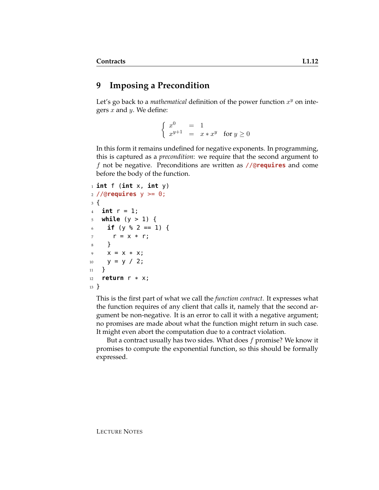## **9 Imposing a Precondition**

Let's go back to a *mathematical* definition of the power function  $x^y$  on integers  $x$  and  $y$ . We define:

> $\int x^0 = 1$  $x^{y+1} = x * x^y$  for  $y \ge 0$

In this form it remains undefined for negative exponents. In programming, this is captured as a *precondition*: we require that the second argument to f not be negative. Preconditions are written as //@**requires** and come before the body of the function.

```
1 int f (int x, int y)
2 //@requires y >= 0;
3 {
4 int r = 1;
5 while (y > 1) {
6 if (y % 2 == 1) {
r = x * r;8 }
9 \times = X * X;10 y = y / 2;11 }
12 return r * x;
13 }
```
This is the first part of what we call the *function contract*. It expresses what the function requires of any client that calls it, namely that the second argument be non-negative. It is an error to call it with a negative argument; no promises are made about what the function might return in such case. It might even abort the computation due to a contract violation.

But a contract usually has two sides. What does  $f$  promise? We know it promises to compute the exponential function, so this should be formally expressed.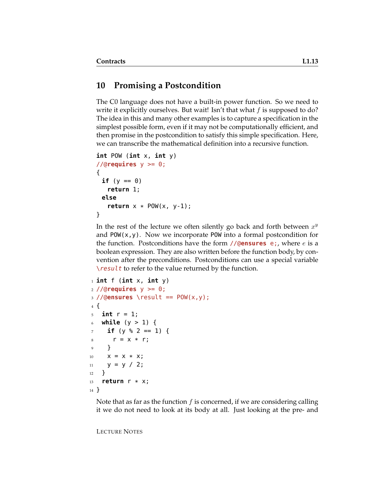## **10 Promising a Postcondition**

The C0 language does not have a built-in power function. So we need to write it explicitly ourselves. But wait! Isn't that what  $f$  is supposed to do? The idea in this and many other examples is to capture a specification in the simplest possible form, even if it may not be computationally efficient, and then promise in the postcondition to satisfy this simple specification. Here, we can transcribe the mathematical definition into a recursive function.

```
int POW (int x, int y)
//@requires y >= 0;
{
 if (y == 0)return 1;
 else
   return x * POW(x, y-1);
}
```
In the rest of the lecture we often silently go back and forth between  $x^y$ and  $POW(x, y)$ . Now we incorporate POW into a formal postcondition for the function. Postconditions have the form //@**ensures** e;, where e is a boolean expression. They are also written before the function body, by convention after the preconditions. Postconditions can use a special variable  $\text{V}\text{result}$  to refer to the value returned by the function.

```
1 int f (int x, int y)
2 //@requires y >= 0;
3 //@ensures \result == POW(x, y);
4 {
5 int r = 1;
6 while (y > 1) {
7 if (y % 2 == 1) {
s \t r = x * r;9 }
10 X = X * X;11 y = y / 2;12 }
13 return r * x;
14 }
```
Note that as far as the function  $f$  is concerned, if we are considering calling it we do not need to look at its body at all. Just looking at the pre- and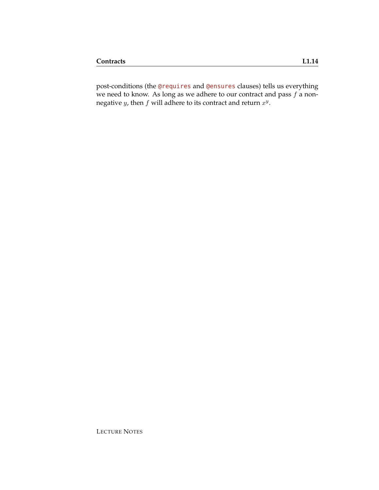post-conditions (the @requires and @ensures clauses) tells us everything we need to know. As long as we adhere to our contract and pass f a nonnegative *y*, then *f* will adhere to its contract and return  $x^y$ .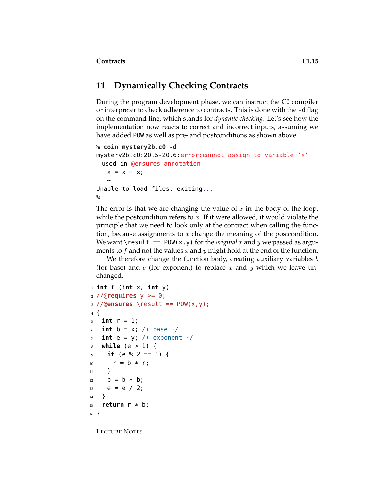# **11 Dynamically Checking Contracts**

During the program development phase, we can instruct the C0 compiler or interpreter to check adherence to contracts. This is done with the -d flag on the command line, which stands for *dynamic checking*. Let's see how the implementation now reacts to correct and incorrect inputs, assuming we have added POW as well as pre- and postconditions as shown above.

```
% coin mystery2b.c0 -d
mystery2b.c0:20.5-20.6:error:cannot assign to variable 'x'
 used in @ensures annotation
   x = x * x;~
Unable to load files, exiting...
%
```
The error is that we are changing the value of x in the body of the loop, while the postcondition refers to  $x$ . If it were allowed, it would violate the principle that we need to look only at the contract when calling the function, because assignments to  $x$  change the meaning of the postcondition. We want \result  $==$  P0W(x,y) for the *original* x and y we passed as arguments to f and not the values x and y might hold at the end of the function.

We therefore change the function body, creating auxiliary variables  $b$ (for base) and  $e$  (for exponent) to replace x and y which we leave unchanged.

```
1 int f (int x, int y)
2 //@requires y >= 0;
3 //@ensures \result == POW(x,y);
4 {
5 int r = 1;
6 int b = x; /* base */
7 int e = y; /* exponent */
8 while (e > 1) {
9 if (e % 2 == 1) {
10 r = b * r;11 }
12 b = b * b;
13 e = e / 2;14 }
15 return r * b;
16 }
```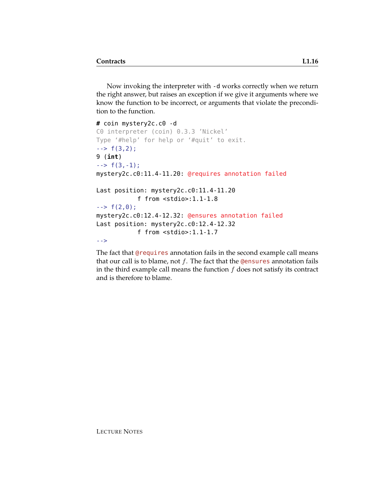Now invoking the interpreter with -d works correctly when we return the right answer, but raises an exception if we give it arguments where we know the function to be incorrect, or arguments that violate the precondition to the function.

```
# coin mystery2c.c0 -d
C0 interpreter (coin) 0.3.3 'Nickel'
Type '#help' for help or '#quit' to exit.
\leftarrow \leftarrow f(3,2);
9 (int)
\leftarrow > f(3, -1);
mystery2c.c0:11.4-11.20: @requires annotation failed
Last position: mystery2c.c0:11.4-11.20
            f from <stdio>:1.1-1.8
\leftarrow > f(2,0);
mystery2c.c0:12.4-12.32: @ensures annotation failed
Last position: mystery2c.c0:12.4-12.32
            f from <stdio>:1.1-1.7
-->
```
The fact that @requires annotation fails in the second example call means that our call is to blame, not  $f$ . The fact that the **@ensures** annotation fails in the third example call means the function  $f$  does not satisfy its contract and is therefore to blame.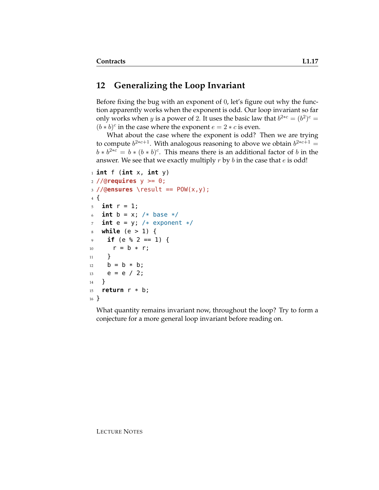#### **12 Generalizing the Loop Invariant**

Before fixing the bug with an exponent of 0, let's figure out why the function apparently works when the exponent is odd. Our loop invariant so far only works when *y* is a power of 2. It uses the basic law that  $b^{2*c} = (b^2)^c =$  $(b * b)^c$  in the case where the exponent  $e = 2 * c$  is even.

What about the case where the exponent is odd? Then we are trying to compute  $b^{2*c+1}$ . With analogous reasoning to above we obtain  $b^{2*c+1} =$  $b * b^{2*c} = b * (b * b)^c$ . This means there is an additional factor of b in the answer. We see that we exactly multiply  $r$  by  $b$  in the case that  $e$  is odd!

```
1 int f (int x, int y)
2 //@requires y \ge 0;
3 //@ensures \result == POW(x,y);
4 {
5 int r = 1;
6 int b = x; /* base */
7 int e = y; /* exponent */
8 while (e > 1) {
9 if (e % 2 = 1) {
10 r = b * r;11 }
12 b = b * b;
13 e = e / 2;
14 }
15 return r * b;
16 }
```
What quantity remains invariant now, throughout the loop? Try to form a conjecture for a more general loop invariant before reading on.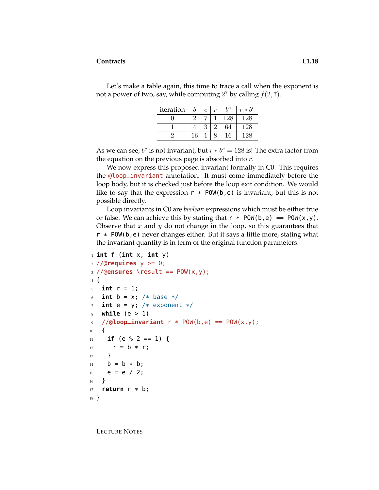Let's make a table again, this time to trace a call when the exponent is not a power of two, say, while computing  $2^7$  by calling  $f(2, 7)$ .

| iteration |    | $\epsilon$   | $\boldsymbol{r}$ | $h^e$ | $r * b^e$ |
|-----------|----|--------------|------------------|-------|-----------|
|           |    |              |                  | 128   | 28        |
|           |    | $\mathbf{Q}$ | റ                | 64    | 28        |
|           | 16 |              |                  | 16    | 28        |

As we can see,  $b^e$  is not invariant, but  $r * b^e = 128$  is! The extra factor from the equation on the previous page is absorbed into  $r$ .

We now express this proposed invariant formally in C0. This requires the @loop\_invariant annotation. It must come immediately before the loop body, but it is checked just before the loop exit condition. We would like to say that the expression  $r * POW(b, e)$  is invariant, but this is not possible directly.

Loop invariants in C0 are *boolean* expressions which must be either true or false. We can achieve this by stating that  $r * POW(b, e) == POW(x, y)$ . Observe that x and y do not change in the loop, so this guarantees that  $r * POW(b, e)$  never changes either. But it says a little more, stating what the invariant quantity is in term of the original function parameters.

```
1 int f (int x, int y)
2 //@requires y >= 0;
3 //@ensures \result == POW(x,y);
4 {
5 int r = 1;
6 int b = x; /* base */
7 int e = y; /* exponent */
8 while (e > 1)
9 //@loop_invariant r * POW(b,e) == POW(x,y);
10 {
_{11} if (e % 2 == 1) {
12 r = b * r;13 }
14 b = b * b;
15 e = e / 2;
16 }
17 return r * b;
18 }
```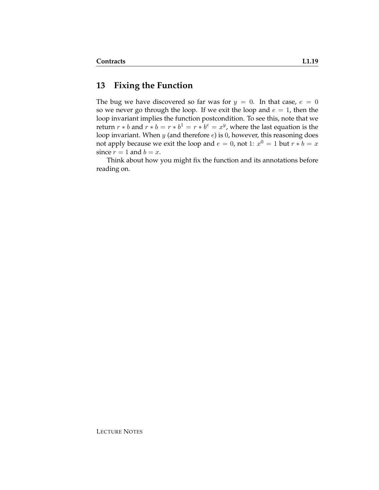## **13 Fixing the Function**

The bug we have discovered so far was for  $y = 0$ . In that case,  $e = 0$ so we never go through the loop. If we exit the loop and  $e = 1$ , then the loop invariant implies the function postcondition. To see this, note that we return  $r * b$  and  $r * b = r * b^1 = r * b^e = x^y$ , where the last equation is the loop invariant. When  $y$  (and therefore  $e$ ) is 0, however, this reasoning does not apply because we exit the loop and  $e = 0$ , not 1:  $x^0 = 1$  but  $r * b = x$ since  $r = 1$  and  $b = x$ .

Think about how you might fix the function and its annotations before reading on.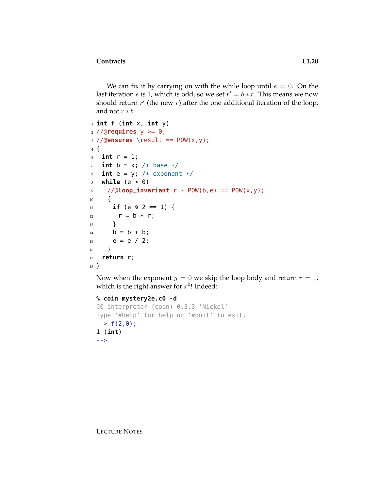We can fix it by carrying on with the while loop until  $e = 0$ . On the last iteration  $e$  is 1, which is odd, so we set  $r' = b * r$ . This means we now should return  $r'$  (the new  $r$ ) after the one additional iteration of the loop, and not  $r * b$ .

```
1 int f (int x, int y)
2 //@requires y >= 0;
3 //@ensures \result == POW(x,y);
4 {
5 int r = 1;
6 int b = x; /* base */
\tau int e = y; /* exponent */
8 while (e > 0)
9 //@loop_invariant r * POW(b,e) == POW(x,y);
10 {
11 if (e % 2 == 1) {
12 r = b * r;13 }
14 b = b * b;
15 e = e / 2;
16 }
17 return r;
18 }
```
Now when the exponent  $y = 0$  we skip the loop body and return  $r = 1$ , which is the right answer for  $x^0$ ! Indeed:

```
% coin mystery2e.c0 -d
C0 interpreter (coin) 0.3.3 'Nickel'
Type '#help' for help or '#quit' to exit.
\leftarrow > f(2,0);
1 (int)
-->
```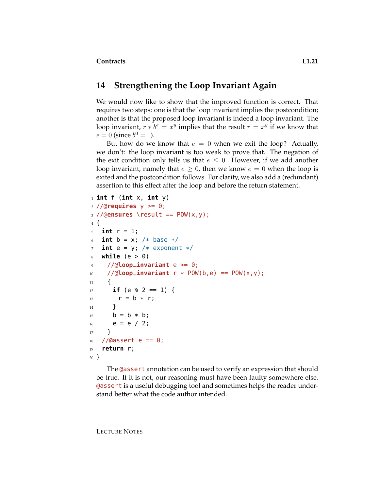#### **14 Strengthening the Loop Invariant Again**

We would now like to show that the improved function is correct. That requires two steps: one is that the loop invariant implies the postcondition; another is that the proposed loop invariant is indeed a loop invariant. The loop invariant,  $r * b^e = x^y$  implies that the result  $r = x^y$  if we know that  $e = 0$  (since  $b^0 = 1$ ).

But how do we know that  $e = 0$  when we exit the loop? Actually, we don't: the loop invariant is too weak to prove that. The negation of the exit condition only tells us that  $e \leq 0$ . However, if we add another loop invariant, namely that  $e \geq 0$ , then we know  $e = 0$  when the loop is exited and the postcondition follows. For clarity, we also add a (redundant) assertion to this effect after the loop and before the return statement.

```
1 int f (int x, int y)
2 //@requires y >= 0;
3 //@ensures \result == POW(x,y);
4 {
5 int r = 1;
6 int b = x; /* base */
7 int e = y; /* exponent */
8 while (e > 0)
9 //@loop_invariant e >= 0;
10 //@loop_invariant r * POW(b, e) == POW(x, y);
11 \quad \text{f}12 if (e % 2 == 1) {
13 r = b * r;14 }
15 b = b * b;
16 e = e / 2;
17 }
18 / /@assert e == 0;
19 return r;
20 }
```
The **@assert** annotation can be used to verify an expression that should be true. If it is not, our reasoning must have been faulty somewhere else. @assert is a useful debugging tool and sometimes helps the reader understand better what the code author intended.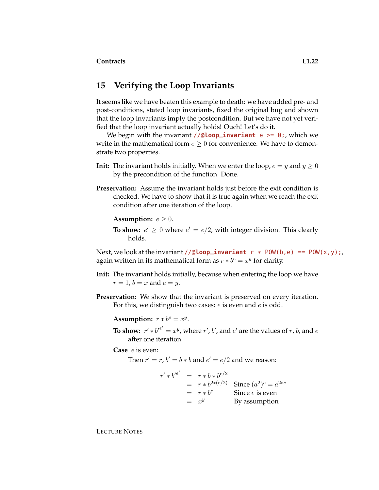#### **15 Verifying the Loop Invariants**

It seems like we have beaten this example to death: we have added pre- and post-conditions, stated loop invariants, fixed the original bug and shown that the loop invariants imply the postcondition. But we have not yet verified that the loop invariant actually holds! Ouch! Let's do it.

We begin with the invariant //@**loop\_invariant** e >= 0;, which we write in the mathematical form  $e > 0$  for convenience. We have to demonstrate two properties.

- **Init:** The invariant holds initially. When we enter the loop,  $e = y$  and  $y \ge 0$ by the precondition of the function. Done.
- **Preservation:** Assume the invariant holds just before the exit condition is checked. We have to show that it is true again when we reach the exit condition after one iteration of the loop.

**Assumption:**  $e \geq 0$ .

**To show:**  $e' \geq 0$  where  $e' = e/2$ , with integer division. This clearly holds.

Next, we look at the invariant //@**loop\_invariant**  $r * POW(b, e) == POW(x, y)$ ; again written in its mathematical form as  $r * b^e = x^y$  for clarity.

- **Init:** The invariant holds initially, because when entering the loop we have  $r = 1$ ,  $b = x$  and  $e = y$ .
- **Preservation:** We show that the invariant is preserved on every iteration. For this, we distinguish two cases:  $e$  is even and  $e$  is odd.

Assumption:  $r * b^e = x^y$ .

**To show:**  $r' * b'^{e'} = x^y$ , where  $r'$ ,  $b'$ , and  $e'$  are the values of r, b, and  $e$ after one iteration.

**Case** e is even:

Then  $r' = r$ ,  $b' = b * b$  and  $e' = e/2$  and we reason:

$$
r' * b'^{e'} = r * b * b^{e/2}
$$
  
=  $r * b^{2*(e/2)}$  Since  $(a^2)^c = a^{2*c}$   
=  $r * b^e$  Since e is even  
=  $x^y$  By assumption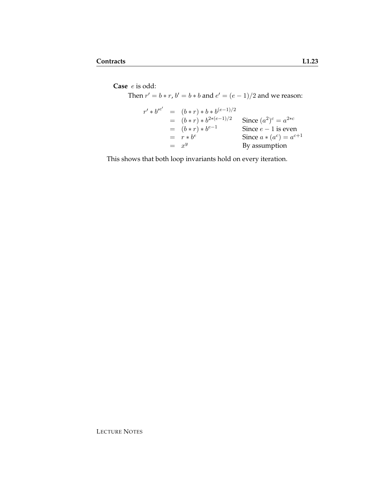**Case** e is odd:

Then  $r' = b * r$ ,  $b' = b * b$  and  $e' = (e - 1)/2$  and we reason:  $r' * b'^{e'} = (b * r) * b * b^{(e-1)/2}$  $= (b * r) * b^{2 * (e-1)/2}$  Since  $(a$  $^{2})^{c} = a^{2*c}$  $= (b * r) * b^{e-1}$ Since  $e - 1$  is even  $= r * b^{e^{\prime}}$ e Since  $a * (a^c) = a^{c+1}$  $= x^y$ By assumption

This shows that both loop invariants hold on every iteration.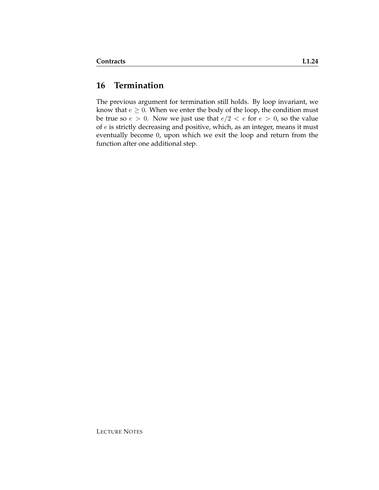## **16 Termination**

The previous argument for termination still holds. By loop invariant, we know that  $e \geq 0$ . When we enter the body of the loop, the condition must be true so  $e > 0$ . Now we just use that  $e/2 < e$  for  $e > 0$ , so the value of e is strictly decreasing and positive, which, as an integer, means it must eventually become 0, upon which we exit the loop and return from the function after one additional step.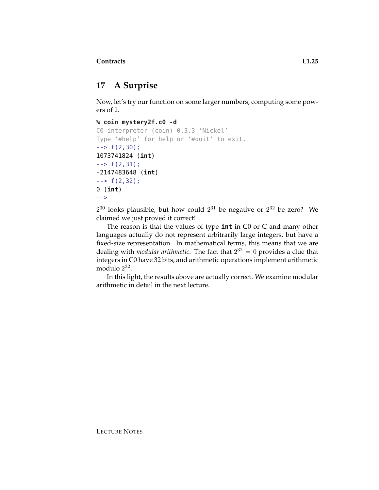# **17 A Surprise**

Now, let's try our function on some larger numbers, computing some powers of 2.

```
% coin mystery2f.c0 -d
```

```
C0 interpreter (coin) 0.3.3 'Nickel'
Type '#help' for help or '#quit' to exit.
\leftarrow > f(2,30);
1073741824 (int)
\leftarrow > f(2,31);
-2147483648 (int)
\leftarrow \leftarrow f(2,32);0 (int)
-->
```
 $2^{30}$  looks plausible, but how could  $2^{31}$  be negative or  $2^{32}$  be zero? We claimed we just proved it correct!

The reason is that the values of type **int** in C0 or C and many other languages actually do not represent arbitrarily large integers, but have a fixed-size representation. In mathematical terms, this means that we are dealing with *modular arithmetic*. The fact that 2 <sup>32</sup> = 0 provides a clue that integers in C0 have 32 bits, and arithmetic operations implement arithmetic modulo  $2^{32}$ .

In this light, the results above are actually correct. We examine modular arithmetic in detail in the next lecture.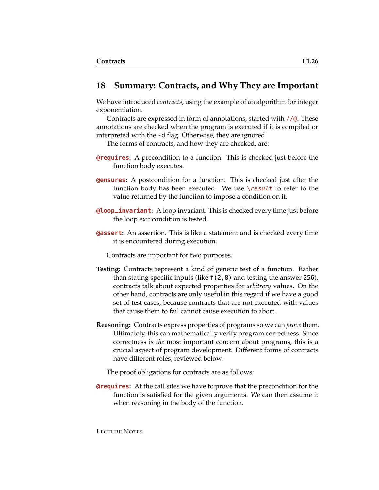#### **18 Summary: Contracts, and Why They are Important**

We have introduced *contracts*, using the example of an algorithm for integer exponentiation.

Contracts are expressed in form of annotations, started with  $//@.$  These annotations are checked when the program is executed if it is compiled or interpreted with the -d flag. Otherwise, they are ignored.

The forms of contracts, and how they are checked, are:

- **@requires:** A precondition to a function. This is checked just before the function body executes.
- **@ensures:** A postcondition for a function. This is checked just after the function body has been executed. We use  $\text{result}$  to refer to the value returned by the function to impose a condition on it.
- **@loop\_invariant:** A loop invariant. This is checked every time just before the loop exit condition is tested.
- **@assert:** An assertion. This is like a statement and is checked every time it is encountered during execution.

Contracts are important for two purposes.

- **Testing:** Contracts represent a kind of generic test of a function. Rather than stating specific inputs (like f(2,8) and testing the answer 256), contracts talk about expected properties for *arbitrary* values. On the other hand, contracts are only useful in this regard if we have a good set of test cases, because contracts that are not executed with values that cause them to fail cannot cause execution to abort.
- **Reasoning:** Contracts express properties of programs so we can *prove*them. Ultimately, this can mathematically verify program correctness. Since correctness is *the* most important concern about programs, this is a crucial aspect of program development. Different forms of contracts have different roles, reviewed below.

The proof obligations for contracts are as follows:

**@requires:** At the call sites we have to prove that the precondition for the function is satisfied for the given arguments. We can then assume it when reasoning in the body of the function.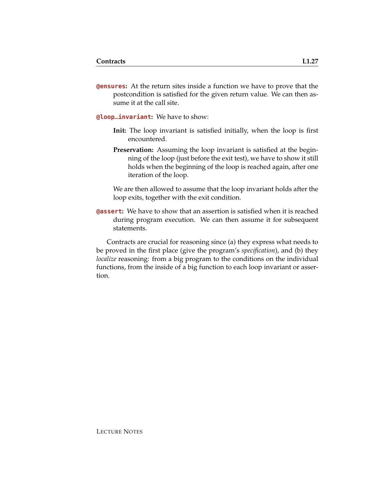**@ensures:** At the return sites inside a function we have to prove that the postcondition is satisfied for the given return value. We can then assume it at the call site.

**@loop\_invariant:** We have to show:

- **Init:** The loop invariant is satisfied initially, when the loop is first encountered.
- **Preservation:** Assuming the loop invariant is satisfied at the beginning of the loop (just before the exit test), we have to show it still holds when the beginning of the loop is reached again, after one iteration of the loop.

We are then allowed to assume that the loop invariant holds after the loop exits, together with the exit condition.

**@assert:** We have to show that an assertion is satisfied when it is reached during program execution. We can then assume it for subsequent statements.

Contracts are crucial for reasoning since (a) they express what needs to be proved in the first place (give the program's *specification*), and (b) they *localize* reasoning: from a big program to the conditions on the individual functions, from the inside of a big function to each loop invariant or assertion.